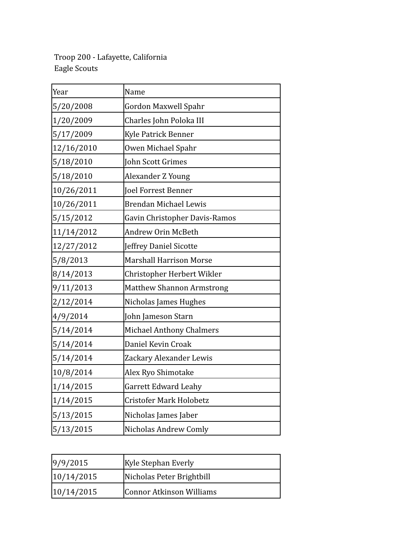Troop 200 - Lafayette, California Eagle Scouts

| Year       | Name                             |
|------------|----------------------------------|
| 5/20/2008  | Gordon Maxwell Spahr             |
| 1/20/2009  | Charles John Poloka III          |
| 5/17/2009  | Kyle Patrick Benner              |
| 12/16/2010 | Owen Michael Spahr               |
| 5/18/2010  | John Scott Grimes                |
| 5/18/2010  | Alexander Z Young                |
| 10/26/2011 | Joel Forrest Benner              |
| 10/26/2011 | <b>Brendan Michael Lewis</b>     |
| 5/15/2012  | Gavin Christopher Davis-Ramos    |
| 11/14/2012 | Andrew Orin McBeth               |
| 12/27/2012 | Jeffrey Daniel Sicotte           |
| 5/8/2013   | <b>Marshall Harrison Morse</b>   |
| 8/14/2013  | Christopher Herbert Wikler       |
| 9/11/2013  | <b>Matthew Shannon Armstrong</b> |
| 2/12/2014  | Nicholas James Hughes            |
| 4/9/2014   | John Jameson Starn               |
| 5/14/2014  | <b>Michael Anthony Chalmers</b>  |
| 5/14/2014  | Daniel Kevin Croak               |
| 5/14/2014  | Zackary Alexander Lewis          |
| 10/8/2014  | Alex Ryo Shimotake               |
| 1/14/2015  | <b>Garrett Edward Leahy</b>      |
| 1/14/2015  | Cristofer Mark Holobetz          |
| 5/13/2015  | Nicholas James Jaber             |
| 5/13/2015  | <b>Nicholas Andrew Comly</b>     |

| 9/9/2015   | Kyle Stephan Everly       |
|------------|---------------------------|
| 10/14/2015 | Nicholas Peter Brightbill |
| 10/14/2015 | Connor Atkinson Williams  |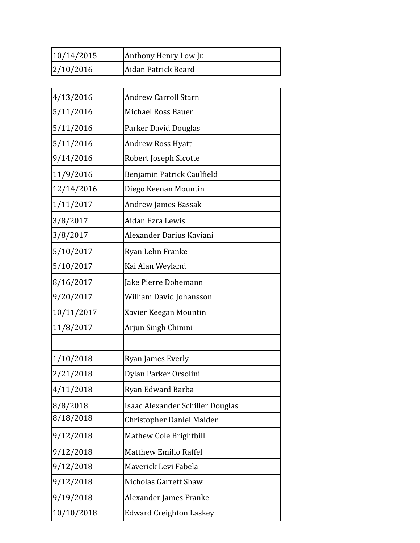| 10/14/2015 | Anthony Henry Low Jr. |
|------------|-----------------------|
| 2/10/2016  | Aidan Patrick Beard   |

| 4/13/2016  | <b>Andrew Carroll Starn</b>      |
|------------|----------------------------------|
| 5/11/2016  | Michael Ross Bauer               |
| 5/11/2016  | Parker David Douglas             |
| 5/11/2016  | <b>Andrew Ross Hyatt</b>         |
| 9/14/2016  | Robert Joseph Sicotte            |
| 11/9/2016  | Benjamin Patrick Caulfield       |
| 12/14/2016 | Diego Keenan Mountin             |
| 1/11/2017  | <b>Andrew James Bassak</b>       |
| 3/8/2017   | Aidan Ezra Lewis                 |
| 3/8/2017   | Alexander Darius Kaviani         |
| 5/10/2017  | Ryan Lehn Franke                 |
| 5/10/2017  | Kai Alan Weyland                 |
| 8/16/2017  | Jake Pierre Dohemann             |
| 9/20/2017  | William David Johansson          |
| 10/11/2017 | Xavier Keegan Mountin            |
| 11/8/2017  | Arjun Singh Chimni               |
|            |                                  |
| 1/10/2018  | Ryan James Everly                |
| 2/21/2018  | Dylan Parker Orsolini            |
| 4/11/2018  | Ryan Edward Barba                |
| 8/8/2018   | Isaac Alexander Schiller Douglas |
| 8/18/2018  | Christopher Daniel Maiden        |
| 9/12/2018  | Mathew Cole Brightbill           |
| 9/12/2018  | <b>Matthew Emilio Raffel</b>     |
| 9/12/2018  | Maverick Levi Fabela             |
| 9/12/2018  | Nicholas Garrett Shaw            |
| 9/19/2018  | Alexander James Franke           |
| 10/10/2018 | <b>Edward Creighton Laskey</b>   |